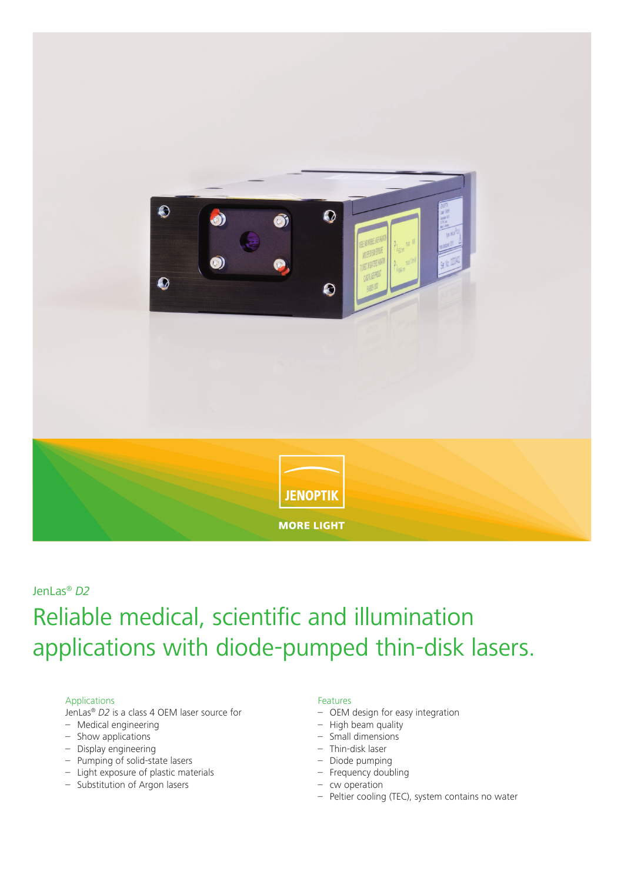

### JenLas® *D2*

# Reliable medical, scientific and illumination applications with diode-pumped thin-disk lasers.

#### Applications

JenLas® *D2* is a class 4 OEM laser source for

- Medical engineering
- Show applications
- Display engineering
- Pumping of solid-state lasers
- Light exposure of plastic materials
- Substitution of Argon lasers

#### Features

- OEM design for easy integration
- High beam quality
- Small dimensions
- Thin-disk laser
- Diode pumping
- Frequency doubling
- cw operation
- Peltier cooling (TEC), system contains no water